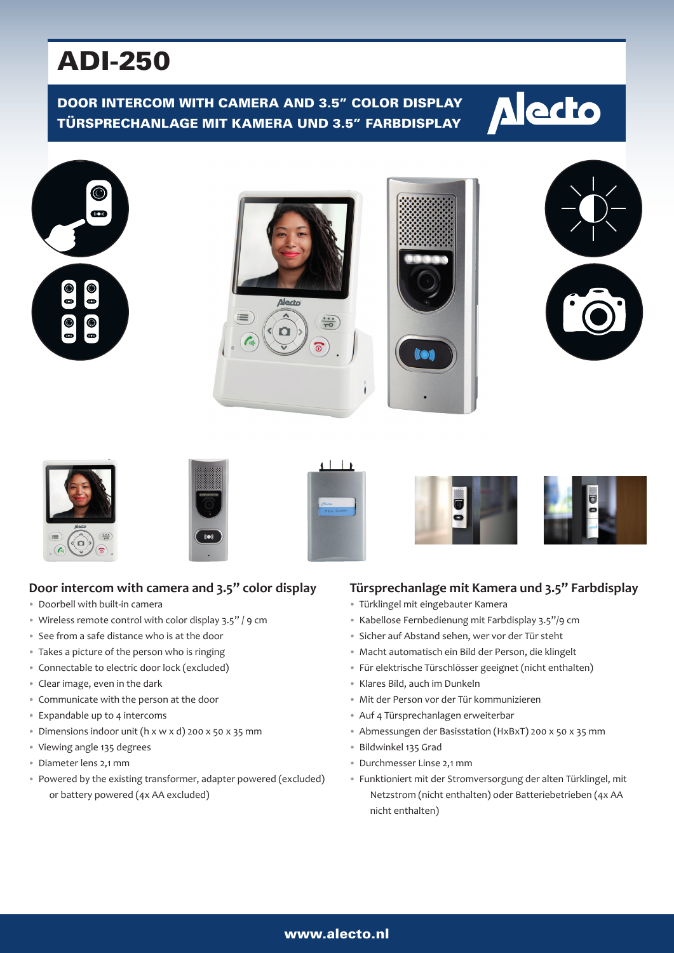# ADI-250

## DOOR INTERCOM WITH CAMERA AND 3.5" COLOR DISPLAY TÜRSPRECHANLAGE MIT KAMERA UND 3.5" FARBDISPLAY



















## **Door intercom with camera and 3.5" color display**

- Doorbell with built-in camera
- Wireless remote control with color display 3.5" / 9 cm
- See from a safe distance who is at the door
- Takes a picture of the person who is ringing
- Connectable to electric door lock (excluded)
- Clear image, even in the dark
- Communicate with the person at the door
- Expandable up to 4 intercoms
- Dimensions indoor unit (h x w x d) 200 x 50 x 35 mm
- Viewing angle 135 degrees
- Diameter lens 2,1 mm
- Powered by the existing transformer, adapter powered (excluded) or battery powered (4x AA excluded)

#### **Türsprechanlage mit Kamera und 3.5" Farbdisplay**

- Türklingel mit eingebauter Kamera
- Kabellose Fernbedienung mit Farbdisplay 3.5"/9 cm
- Sicher auf Abstand sehen, wer vor der Tür steht
- Macht automatisch ein Bild der Person, die klingelt
- Für elektrische Türschlösser geeignet (nicht enthalten)
- Klares Bild, auch im Dunkeln
- Mit der Person vor der Tür kommunizieren
- Auf 4 Türsprechanlagen erweiterbar
- Abmessungen der Basisstation (HxBxT) 200 x 50 x 35 mm
- Bildwinkel 135 Grad
- Durchmesser Linse 2,1 mm
- Funktioniert mit der Stromversorgung der alten Türklingel, mit Netzstrom (nicht enthalten) oder Batteriebetrieben (4x AA nicht enthalten)

#### www.alecto.nl